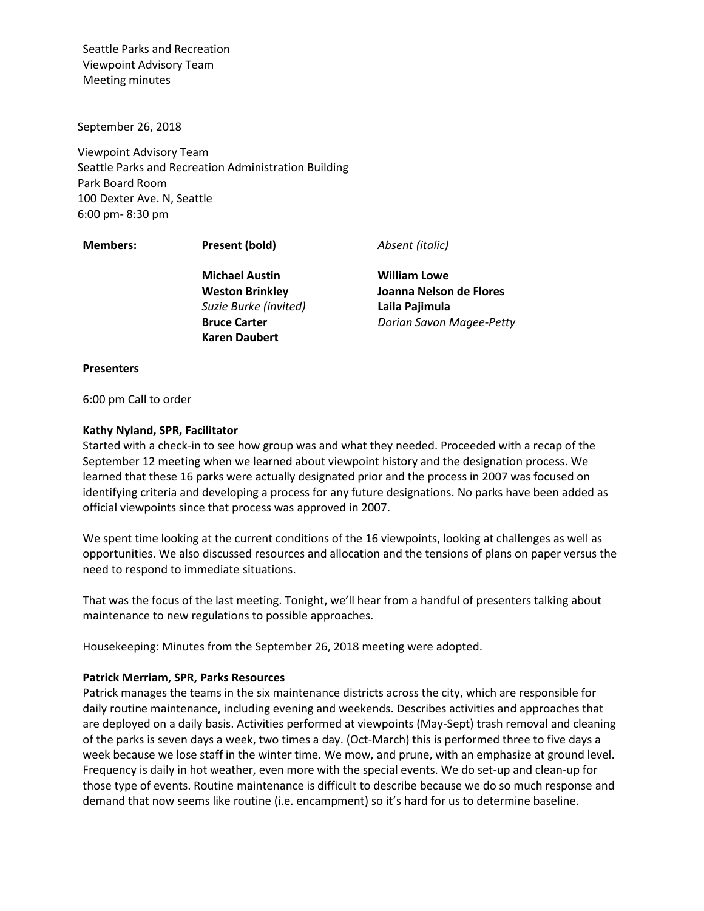September 26, 2018

Viewpoint Advisory Team Seattle Parks and Recreation Administration Building Park Board Room 100 Dexter Ave. N, Seattle 6:00 pm- 8:30 pm

**Members: Present (bold)** *Absent (italic)*

**Michael Austin Weston Brinkley** *Suzie Burke (invited)* **Bruce Carter Karen Daubert**

**William Lowe Joanna Nelson de Flores Laila Pajimula** *Dorian Savon Magee-Petty*

#### **Presenters**

6:00 pm Call to order

### **Kathy Nyland, SPR, Facilitator**

Started with a check-in to see how group was and what they needed. Proceeded with a recap of the September 12 meeting when we learned about viewpoint history and the designation process. We learned that these 16 parks were actually designated prior and the process in 2007 was focused on identifying criteria and developing a process for any future designations. No parks have been added as official viewpoints since that process was approved in 2007.

We spent time looking at the current conditions of the 16 viewpoints, looking at challenges as well as opportunities. We also discussed resources and allocation and the tensions of plans on paper versus the need to respond to immediate situations.

That was the focus of the last meeting. Tonight, we'll hear from a handful of presenters talking about maintenance to new regulations to possible approaches.

Housekeeping: Minutes from the September 26, 2018 meeting were adopted.

### **Patrick Merriam, SPR, Parks Resources**

Patrick manages the teams in the six maintenance districts across the city, which are responsible for daily routine maintenance, including evening and weekends. Describes activities and approaches that are deployed on a daily basis. Activities performed at viewpoints (May-Sept) trash removal and cleaning of the parks is seven days a week, two times a day. (Oct-March) this is performed three to five days a week because we lose staff in the winter time. We mow, and prune, with an emphasize at ground level. Frequency is daily in hot weather, even more with the special events. We do set-up and clean-up for those type of events. Routine maintenance is difficult to describe because we do so much response and demand that now seems like routine (i.e. encampment) so it's hard for us to determine baseline.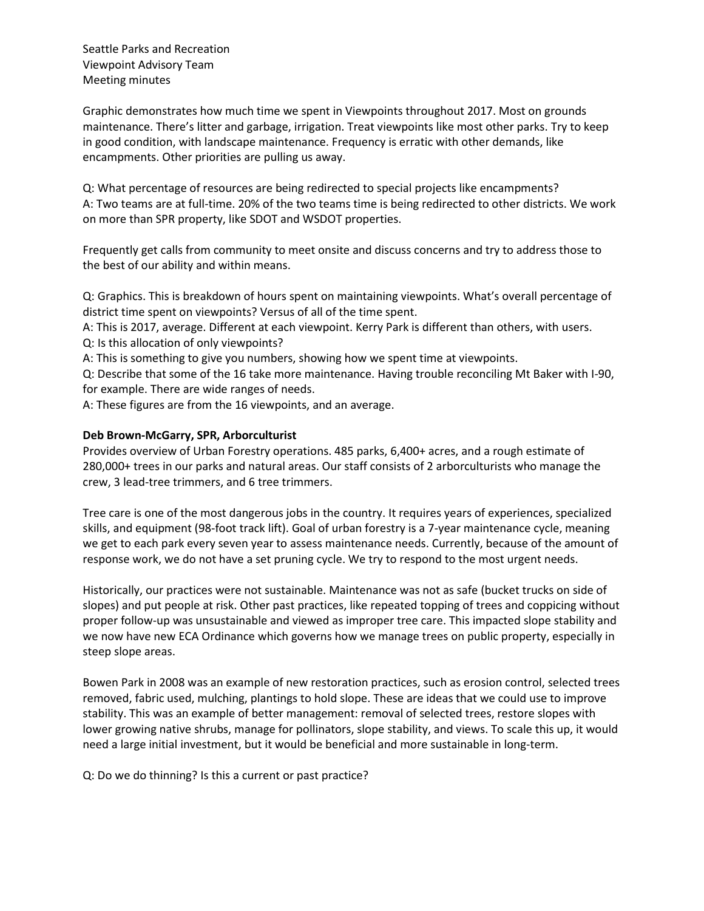Graphic demonstrates how much time we spent in Viewpoints throughout 2017. Most on grounds maintenance. There's litter and garbage, irrigation. Treat viewpoints like most other parks. Try to keep in good condition, with landscape maintenance. Frequency is erratic with other demands, like encampments. Other priorities are pulling us away.

Q: What percentage of resources are being redirected to special projects like encampments? A: Two teams are at full-time. 20% of the two teams time is being redirected to other districts. We work on more than SPR property, like SDOT and WSDOT properties.

Frequently get calls from community to meet onsite and discuss concerns and try to address those to the best of our ability and within means.

Q: Graphics. This is breakdown of hours spent on maintaining viewpoints. What's overall percentage of district time spent on viewpoints? Versus of all of the time spent.

A: This is 2017, average. Different at each viewpoint. Kerry Park is different than others, with users. Q: Is this allocation of only viewpoints?

A: This is something to give you numbers, showing how we spent time at viewpoints.

Q: Describe that some of the 16 take more maintenance. Having trouble reconciling Mt Baker with I-90, for example. There are wide ranges of needs.

A: These figures are from the 16 viewpoints, and an average.

### **Deb Brown-McGarry, SPR, Arborculturist**

Provides overview of Urban Forestry operations. 485 parks, 6,400+ acres, and a rough estimate of 280,000+ trees in our parks and natural areas. Our staff consists of 2 arborculturists who manage the crew, 3 lead-tree trimmers, and 6 tree trimmers.

Tree care is one of the most dangerous jobs in the country. It requires years of experiences, specialized skills, and equipment (98-foot track lift). Goal of urban forestry is a 7-year maintenance cycle, meaning we get to each park every seven year to assess maintenance needs. Currently, because of the amount of response work, we do not have a set pruning cycle. We try to respond to the most urgent needs.

Historically, our practices were not sustainable. Maintenance was not as safe (bucket trucks on side of slopes) and put people at risk. Other past practices, like repeated topping of trees and coppicing without proper follow-up was unsustainable and viewed as improper tree care. This impacted slope stability and we now have new ECA Ordinance which governs how we manage trees on public property, especially in steep slope areas.

Bowen Park in 2008 was an example of new restoration practices, such as erosion control, selected trees removed, fabric used, mulching, plantings to hold slope. These are ideas that we could use to improve stability. This was an example of better management: removal of selected trees, restore slopes with lower growing native shrubs, manage for pollinators, slope stability, and views. To scale this up, it would need a large initial investment, but it would be beneficial and more sustainable in long-term.

Q: Do we do thinning? Is this a current or past practice?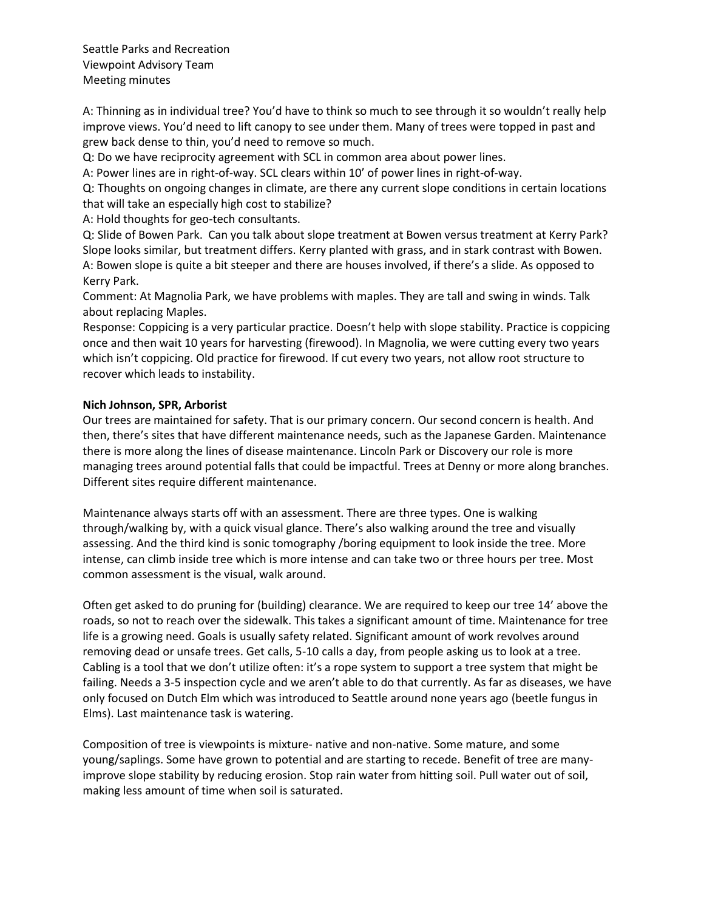A: Thinning as in individual tree? You'd have to think so much to see through it so wouldn't really help improve views. You'd need to lift canopy to see under them. Many of trees were topped in past and grew back dense to thin, you'd need to remove so much.

Q: Do we have reciprocity agreement with SCL in common area about power lines.

A: Power lines are in right-of-way. SCL clears within 10' of power lines in right-of-way.

Q: Thoughts on ongoing changes in climate, are there any current slope conditions in certain locations that will take an especially high cost to stabilize?

A: Hold thoughts for geo-tech consultants.

Q: Slide of Bowen Park. Can you talk about slope treatment at Bowen versus treatment at Kerry Park? Slope looks similar, but treatment differs. Kerry planted with grass, and in stark contrast with Bowen. A: Bowen slope is quite a bit steeper and there are houses involved, if there's a slide. As opposed to Kerry Park.

Comment: At Magnolia Park, we have problems with maples. They are tall and swing in winds. Talk about replacing Maples.

Response: Coppicing is a very particular practice. Doesn't help with slope stability. Practice is coppicing once and then wait 10 years for harvesting (firewood). In Magnolia, we were cutting every two years which isn't coppicing. Old practice for firewood. If cut every two years, not allow root structure to recover which leads to instability.

## **Nich Johnson, SPR, Arborist**

Our trees are maintained for safety. That is our primary concern. Our second concern is health. And then, there's sites that have different maintenance needs, such as the Japanese Garden. Maintenance there is more along the lines of disease maintenance. Lincoln Park or Discovery our role is more managing trees around potential falls that could be impactful. Trees at Denny or more along branches. Different sites require different maintenance.

Maintenance always starts off with an assessment. There are three types. One is walking through/walking by, with a quick visual glance. There's also walking around the tree and visually assessing. And the third kind is sonic tomography /boring equipment to look inside the tree. More intense, can climb inside tree which is more intense and can take two or three hours per tree. Most common assessment is the visual, walk around.

Often get asked to do pruning for (building) clearance. We are required to keep our tree 14' above the roads, so not to reach over the sidewalk. This takes a significant amount of time. Maintenance for tree life is a growing need. Goals is usually safety related. Significant amount of work revolves around removing dead or unsafe trees. Get calls, 5-10 calls a day, from people asking us to look at a tree. Cabling is a tool that we don't utilize often: it's a rope system to support a tree system that might be failing. Needs a 3-5 inspection cycle and we aren't able to do that currently. As far as diseases, we have only focused on Dutch Elm which was introduced to Seattle around none years ago (beetle fungus in Elms). Last maintenance task is watering.

Composition of tree is viewpoints is mixture- native and non-native. Some mature, and some young/saplings. Some have grown to potential and are starting to recede. Benefit of tree are manyimprove slope stability by reducing erosion. Stop rain water from hitting soil. Pull water out of soil, making less amount of time when soil is saturated.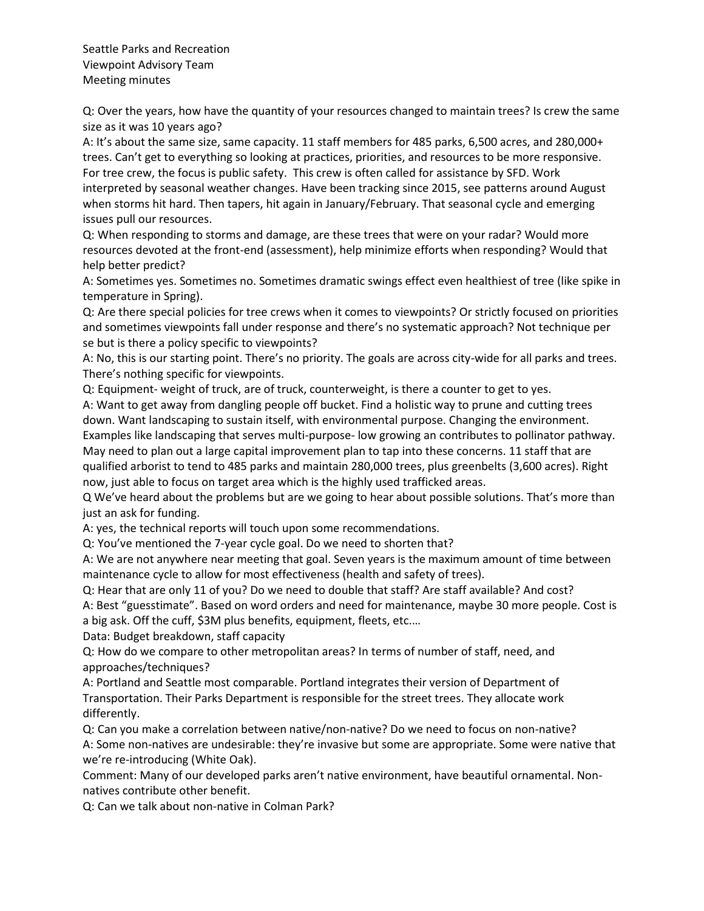Q: Over the years, how have the quantity of your resources changed to maintain trees? Is crew the same size as it was 10 years ago?

A: It's about the same size, same capacity. 11 staff members for 485 parks, 6,500 acres, and 280,000+ trees. Can't get to everything so looking at practices, priorities, and resources to be more responsive. For tree crew, the focus is public safety. This crew is often called for assistance by SFD. Work interpreted by seasonal weather changes. Have been tracking since 2015, see patterns around August when storms hit hard. Then tapers, hit again in January/February. That seasonal cycle and emerging issues pull our resources.

Q: When responding to storms and damage, are these trees that were on your radar? Would more resources devoted at the front-end (assessment), help minimize efforts when responding? Would that help better predict?

A: Sometimes yes. Sometimes no. Sometimes dramatic swings effect even healthiest of tree (like spike in temperature in Spring).

Q: Are there special policies for tree crews when it comes to viewpoints? Or strictly focused on priorities and sometimes viewpoints fall under response and there's no systematic approach? Not technique per se but is there a policy specific to viewpoints?

A: No, this is our starting point. There's no priority. The goals are across city-wide for all parks and trees. There's nothing specific for viewpoints.

Q: Equipment- weight of truck, are of truck, counterweight, is there a counter to get to yes.

A: Want to get away from dangling people off bucket. Find a holistic way to prune and cutting trees down. Want landscaping to sustain itself, with environmental purpose. Changing the environment. Examples like landscaping that serves multi-purpose- low growing an contributes to pollinator pathway. May need to plan out a large capital improvement plan to tap into these concerns. 11 staff that are qualified arborist to tend to 485 parks and maintain 280,000 trees, plus greenbelts (3,600 acres). Right now, just able to focus on target area which is the highly used trafficked areas.

Q We've heard about the problems but are we going to hear about possible solutions. That's more than just an ask for funding.

A: yes, the technical reports will touch upon some recommendations.

Q: You've mentioned the 7-year cycle goal. Do we need to shorten that?

A: We are not anywhere near meeting that goal. Seven years is the maximum amount of time between maintenance cycle to allow for most effectiveness (health and safety of trees).

Q: Hear that are only 11 of you? Do we need to double that staff? Are staff available? And cost?

A: Best "guesstimate". Based on word orders and need for maintenance, maybe 30 more people. Cost is a big ask. Off the cuff, \$3M plus benefits, equipment, fleets, etc.…

Data: Budget breakdown, staff capacity

Q: How do we compare to other metropolitan areas? In terms of number of staff, need, and approaches/techniques?

A: Portland and Seattle most comparable. Portland integrates their version of Department of Transportation. Their Parks Department is responsible for the street trees. They allocate work differently.

Q: Can you make a correlation between native/non-native? Do we need to focus on non-native? A: Some non-natives are undesirable: they're invasive but some are appropriate. Some were native that we're re-introducing (White Oak).

Comment: Many of our developed parks aren't native environment, have beautiful ornamental. Nonnatives contribute other benefit.

Q: Can we talk about non-native in Colman Park?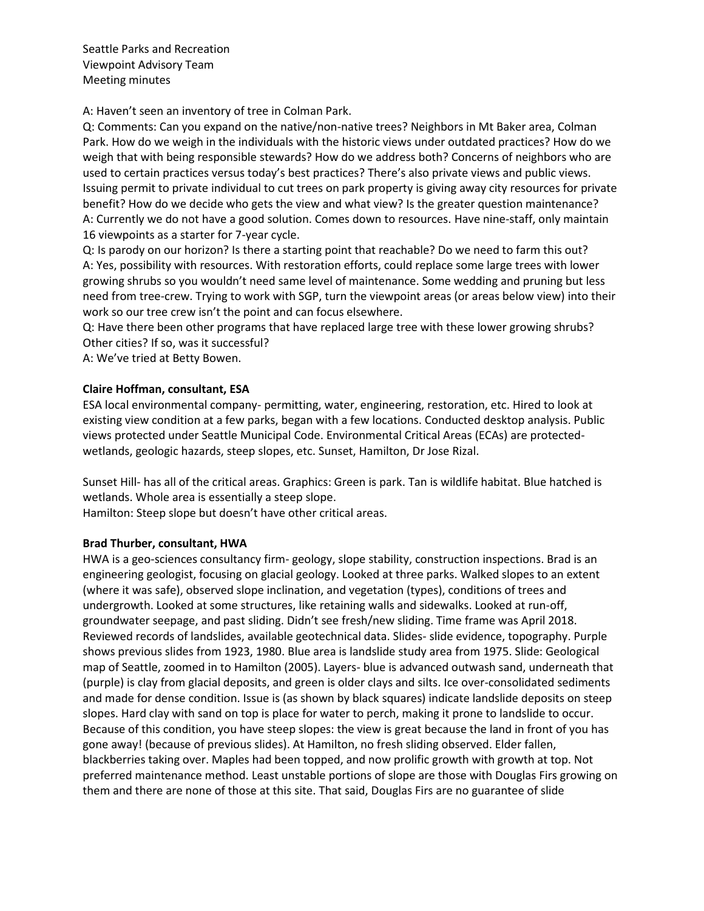A: Haven't seen an inventory of tree in Colman Park.

Q: Comments: Can you expand on the native/non-native trees? Neighbors in Mt Baker area, Colman Park. How do we weigh in the individuals with the historic views under outdated practices? How do we weigh that with being responsible stewards? How do we address both? Concerns of neighbors who are used to certain practices versus today's best practices? There's also private views and public views. Issuing permit to private individual to cut trees on park property is giving away city resources for private benefit? How do we decide who gets the view and what view? Is the greater question maintenance? A: Currently we do not have a good solution. Comes down to resources. Have nine-staff, only maintain 16 viewpoints as a starter for 7-year cycle.

Q: Is parody on our horizon? Is there a starting point that reachable? Do we need to farm this out? A: Yes, possibility with resources. With restoration efforts, could replace some large trees with lower growing shrubs so you wouldn't need same level of maintenance. Some wedding and pruning but less need from tree-crew. Trying to work with SGP, turn the viewpoint areas (or areas below view) into their work so our tree crew isn't the point and can focus elsewhere.

Q: Have there been other programs that have replaced large tree with these lower growing shrubs? Other cities? If so, was it successful?

A: We've tried at Betty Bowen.

## **Claire Hoffman, consultant, ESA**

ESA local environmental company- permitting, water, engineering, restoration, etc. Hired to look at existing view condition at a few parks, began with a few locations. Conducted desktop analysis. Public views protected under Seattle Municipal Code. Environmental Critical Areas (ECAs) are protectedwetlands, geologic hazards, steep slopes, etc. Sunset, Hamilton, Dr Jose Rizal.

Sunset Hill- has all of the critical areas. Graphics: Green is park. Tan is wildlife habitat. Blue hatched is wetlands. Whole area is essentially a steep slope.

Hamilton: Steep slope but doesn't have other critical areas.

### **Brad Thurber, consultant, HWA**

HWA is a geo-sciences consultancy firm- geology, slope stability, construction inspections. Brad is an engineering geologist, focusing on glacial geology. Looked at three parks. Walked slopes to an extent (where it was safe), observed slope inclination, and vegetation (types), conditions of trees and undergrowth. Looked at some structures, like retaining walls and sidewalks. Looked at run-off, groundwater seepage, and past sliding. Didn't see fresh/new sliding. Time frame was April 2018. Reviewed records of landslides, available geotechnical data. Slides- slide evidence, topography. Purple shows previous slides from 1923, 1980. Blue area is landslide study area from 1975. Slide: Geological map of Seattle, zoomed in to Hamilton (2005). Layers- blue is advanced outwash sand, underneath that (purple) is clay from glacial deposits, and green is older clays and silts. Ice over-consolidated sediments and made for dense condition. Issue is (as shown by black squares) indicate landslide deposits on steep slopes. Hard clay with sand on top is place for water to perch, making it prone to landslide to occur. Because of this condition, you have steep slopes: the view is great because the land in front of you has gone away! (because of previous slides). At Hamilton, no fresh sliding observed. Elder fallen, blackberries taking over. Maples had been topped, and now prolific growth with growth at top. Not preferred maintenance method. Least unstable portions of slope are those with Douglas Firs growing on them and there are none of those at this site. That said, Douglas Firs are no guarantee of slide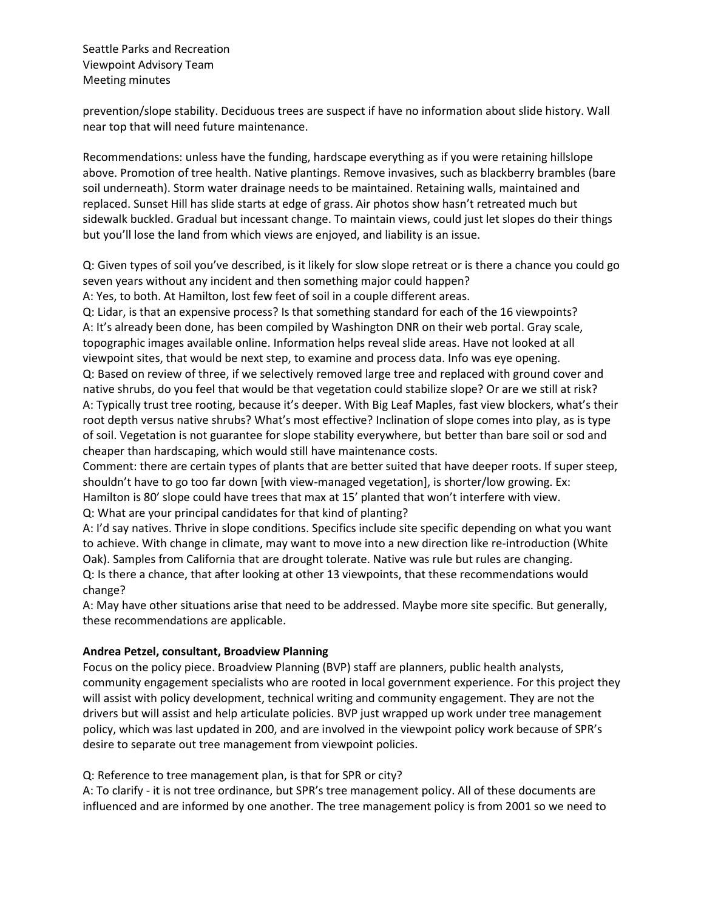prevention/slope stability. Deciduous trees are suspect if have no information about slide history. Wall near top that will need future maintenance.

Recommendations: unless have the funding, hardscape everything as if you were retaining hillslope above. Promotion of tree health. Native plantings. Remove invasives, such as blackberry brambles (bare soil underneath). Storm water drainage needs to be maintained. Retaining walls, maintained and replaced. Sunset Hill has slide starts at edge of grass. Air photos show hasn't retreated much but sidewalk buckled. Gradual but incessant change. To maintain views, could just let slopes do their things but you'll lose the land from which views are enjoyed, and liability is an issue.

Q: Given types of soil you've described, is it likely for slow slope retreat or is there a chance you could go seven years without any incident and then something major could happen?

A: Yes, to both. At Hamilton, lost few feet of soil in a couple different areas.

Q: Lidar, is that an expensive process? Is that something standard for each of the 16 viewpoints? A: It's already been done, has been compiled by Washington DNR on their web portal. Gray scale, topographic images available online. Information helps reveal slide areas. Have not looked at all viewpoint sites, that would be next step, to examine and process data. Info was eye opening. Q: Based on review of three, if we selectively removed large tree and replaced with ground cover and native shrubs, do you feel that would be that vegetation could stabilize slope? Or are we still at risk? A: Typically trust tree rooting, because it's deeper. With Big Leaf Maples, fast view blockers, what's their root depth versus native shrubs? What's most effective? Inclination of slope comes into play, as is type of soil. Vegetation is not guarantee for slope stability everywhere, but better than bare soil or sod and cheaper than hardscaping, which would still have maintenance costs.

Comment: there are certain types of plants that are better suited that have deeper roots. If super steep, shouldn't have to go too far down [with view-managed vegetation], is shorter/low growing. Ex: Hamilton is 80' slope could have trees that max at 15' planted that won't interfere with view. Q: What are your principal candidates for that kind of planting?

A: I'd say natives. Thrive in slope conditions. Specifics include site specific depending on what you want to achieve. With change in climate, may want to move into a new direction like re-introduction (White Oak). Samples from California that are drought tolerate. Native was rule but rules are changing. Q: Is there a chance, that after looking at other 13 viewpoints, that these recommendations would change?

A: May have other situations arise that need to be addressed. Maybe more site specific. But generally, these recommendations are applicable.

### **Andrea Petzel, consultant, Broadview Planning**

Focus on the policy piece. Broadview Planning (BVP) staff are planners, public health analysts, community engagement specialists who are rooted in local government experience. For this project they will assist with policy development, technical writing and community engagement. They are not the drivers but will assist and help articulate policies. BVP just wrapped up work under tree management policy, which was last updated in 200, and are involved in the viewpoint policy work because of SPR's desire to separate out tree management from viewpoint policies.

### Q: Reference to tree management plan, is that for SPR or city?

A: To clarify - it is not tree ordinance, but SPR's tree management policy. All of these documents are influenced and are informed by one another. The tree management policy is from 2001 so we need to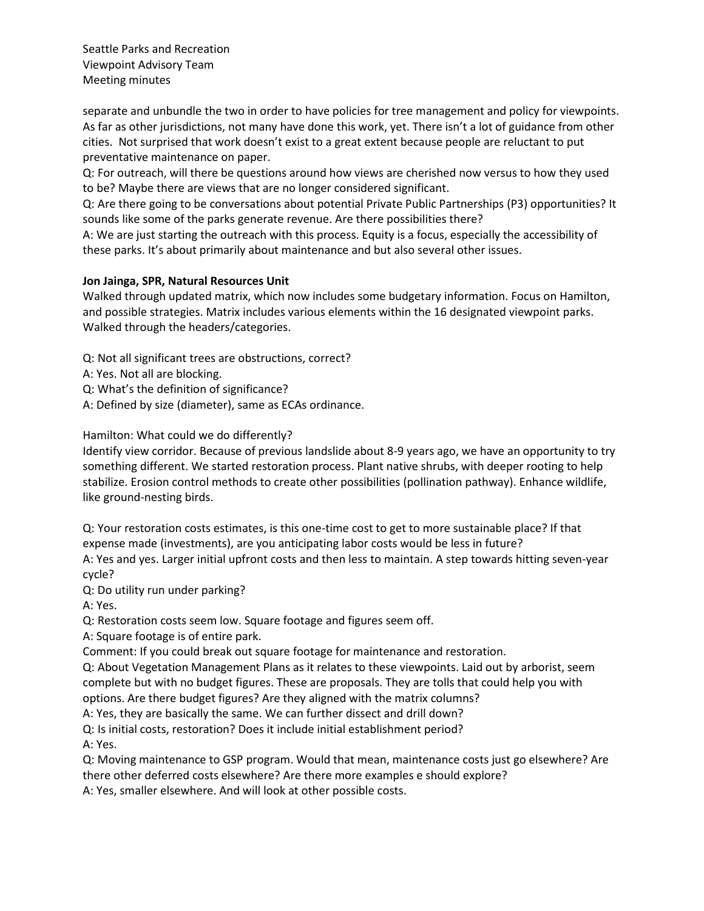separate and unbundle the two in order to have policies for tree management and policy for viewpoints. As far as other jurisdictions, not many have done this work, yet. There isn't a lot of guidance from other cities. Not surprised that work doesn't exist to a great extent because people are reluctant to put preventative maintenance on paper.

Q: For outreach, will there be questions around how views are cherished now versus to how they used to be? Maybe there are views that are no longer considered significant.

Q: Are there going to be conversations about potential Private Public Partnerships (P3) opportunities? It sounds like some of the parks generate revenue. Are there possibilities there?

A: We are just starting the outreach with this process. Equity is a focus, especially the accessibility of these parks. It's about primarily about maintenance and but also several other issues.

# **Jon Jainga, SPR, Natural Resources Unit**

Walked through updated matrix, which now includes some budgetary information. Focus on Hamilton, and possible strategies. Matrix includes various elements within the 16 designated viewpoint parks. Walked through the headers/categories.

Q: Not all significant trees are obstructions, correct?

- A: Yes. Not all are blocking.
- Q: What's the definition of significance?
- A: Defined by size (diameter), same as ECAs ordinance.

Hamilton: What could we do differently?

Identify view corridor. Because of previous landslide about 8-9 years ago, we have an opportunity to try something different. We started restoration process. Plant native shrubs, with deeper rooting to help stabilize. Erosion control methods to create other possibilities (pollination pathway). Enhance wildlife, like ground-nesting birds.

Q: Your restoration costs estimates, is this one-time cost to get to more sustainable place? If that expense made (investments), are you anticipating labor costs would be less in future? A: Yes and yes. Larger initial upfront costs and then less to maintain. A step towards hitting seven-year cycle?

Q: Do utility run under parking?

A: Yes.

Q: Restoration costs seem low. Square footage and figures seem off.

A: Square footage is of entire park.

Comment: If you could break out square footage for maintenance and restoration.

Q: About Vegetation Management Plans as it relates to these viewpoints. Laid out by arborist, seem complete but with no budget figures. These are proposals. They are tolls that could help you with options. Are there budget figures? Are they aligned with the matrix columns?

A: Yes, they are basically the same. We can further dissect and drill down?

Q: Is initial costs, restoration? Does it include initial establishment period?

A: Yes.

Q: Moving maintenance to GSP program. Would that mean, maintenance costs just go elsewhere? Are there other deferred costs elsewhere? Are there more examples e should explore?

A: Yes, smaller elsewhere. And will look at other possible costs.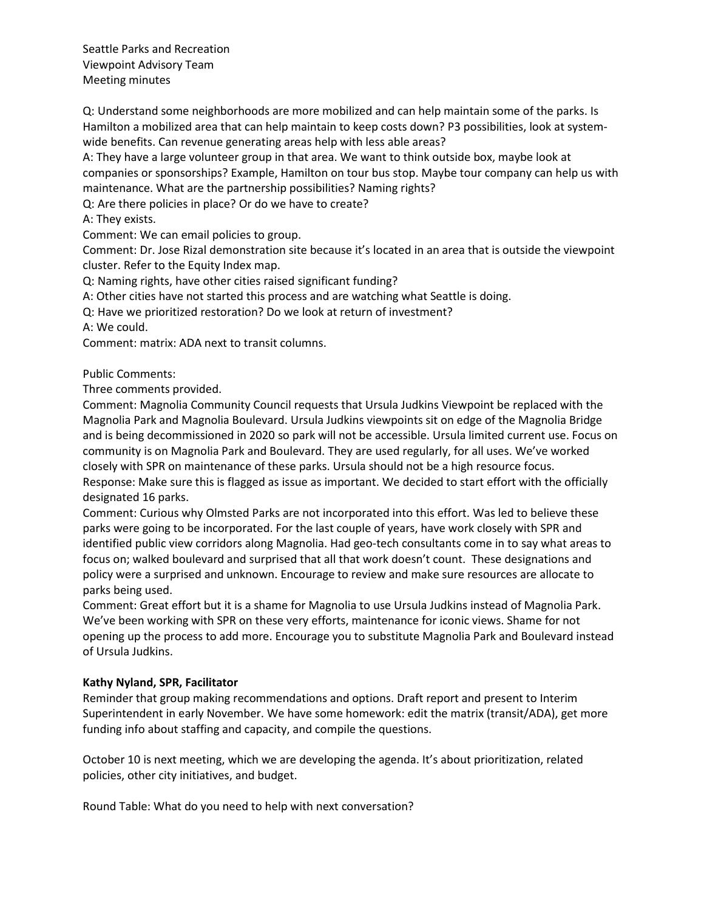Q: Understand some neighborhoods are more mobilized and can help maintain some of the parks. Is Hamilton a mobilized area that can help maintain to keep costs down? P3 possibilities, look at systemwide benefits. Can revenue generating areas help with less able areas?

A: They have a large volunteer group in that area. We want to think outside box, maybe look at companies or sponsorships? Example, Hamilton on tour bus stop. Maybe tour company can help us with maintenance. What are the partnership possibilities? Naming rights?

Q: Are there policies in place? Or do we have to create?

A: They exists.

Comment: We can email policies to group.

Comment: Dr. Jose Rizal demonstration site because it's located in an area that is outside the viewpoint cluster. Refer to the Equity Index map.

Q: Naming rights, have other cities raised significant funding?

A: Other cities have not started this process and are watching what Seattle is doing.

Q: Have we prioritized restoration? Do we look at return of investment?

A: We could.

Comment: matrix: ADA next to transit columns.

Public Comments:

Three comments provided.

Comment: Magnolia Community Council requests that Ursula Judkins Viewpoint be replaced with the Magnolia Park and Magnolia Boulevard. Ursula Judkins viewpoints sit on edge of the Magnolia Bridge and is being decommissioned in 2020 so park will not be accessible. Ursula limited current use. Focus on community is on Magnolia Park and Boulevard. They are used regularly, for all uses. We've worked closely with SPR on maintenance of these parks. Ursula should not be a high resource focus. Response: Make sure this is flagged as issue as important. We decided to start effort with the officially designated 16 parks.

Comment: Curious why Olmsted Parks are not incorporated into this effort. Was led to believe these parks were going to be incorporated. For the last couple of years, have work closely with SPR and identified public view corridors along Magnolia. Had geo-tech consultants come in to say what areas to focus on; walked boulevard and surprised that all that work doesn't count. These designations and policy were a surprised and unknown. Encourage to review and make sure resources are allocate to parks being used.

Comment: Great effort but it is a shame for Magnolia to use Ursula Judkins instead of Magnolia Park. We've been working with SPR on these very efforts, maintenance for iconic views. Shame for not opening up the process to add more. Encourage you to substitute Magnolia Park and Boulevard instead of Ursula Judkins.

### **Kathy Nyland, SPR, Facilitator**

Reminder that group making recommendations and options. Draft report and present to Interim Superintendent in early November. We have some homework: edit the matrix (transit/ADA), get more funding info about staffing and capacity, and compile the questions.

October 10 is next meeting, which we are developing the agenda. It's about prioritization, related policies, other city initiatives, and budget.

Round Table: What do you need to help with next conversation?